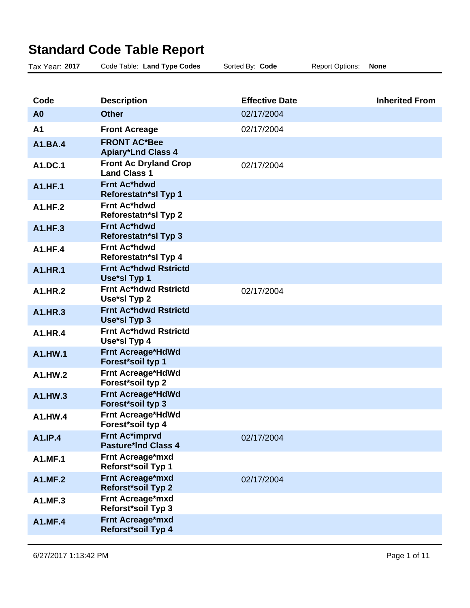## **Standard Code Table Report**

| Tax Year: 2017 | Code Table: Land Type Codes                         | Sorted By: Code       | <b>Report Options:</b> | <b>None</b>           |
|----------------|-----------------------------------------------------|-----------------------|------------------------|-----------------------|
|                |                                                     |                       |                        |                       |
| Code           | <b>Description</b>                                  | <b>Effective Date</b> |                        | <b>Inherited From</b> |
| A <sub>0</sub> | <b>Other</b>                                        | 02/17/2004            |                        |                       |
| A <sub>1</sub> | <b>Front Acreage</b>                                | 02/17/2004            |                        |                       |
| A1.BA.4        | <b>FRONT AC*Bee</b><br><b>Apiary*Lnd Class 4</b>    |                       |                        |                       |
| A1.DC.1        | <b>Front Ac Dryland Crop</b><br><b>Land Class 1</b> | 02/17/2004            |                        |                       |
| <b>A1.HF.1</b> | <b>Frnt Ac*hdwd</b><br><b>Reforestatn*sl Typ 1</b>  |                       |                        |                       |
| A1.HF.2        | <b>Frnt Ac*hdwd</b><br>Reforestatn*sl Typ 2         |                       |                        |                       |
| <b>A1.HF.3</b> | <b>Frnt Ac*hdwd</b><br><b>Reforestatn*sl Typ 3</b>  |                       |                        |                       |
| <b>A1.HF.4</b> | <b>Frnt Ac*hdwd</b><br>Reforestatn*sl Typ 4         |                       |                        |                       |
| <b>A1.HR.1</b> | <b>Frnt Ac*hdwd Rstrictd</b><br>Use*sl Typ 1        |                       |                        |                       |
| A1.HR.2        | Frnt Ac*hdwd Rstrictd<br>Use*sl Typ 2               | 02/17/2004            |                        |                       |
| A1.HR.3        | <b>Frnt Ac*hdwd Rstrictd</b><br>Use*sl Typ 3        |                       |                        |                       |
| A1.HR.4        | Frnt Ac*hdwd Rstrictd<br>Use*sl Typ 4               |                       |                        |                       |
| A1.HW.1        | <b>Frnt Acreage*HdWd</b><br>Forest*soil typ 1       |                       |                        |                       |
| A1.HW.2        | <b>Frnt Acreage*HdWd</b><br>Forest*soil typ 2       |                       |                        |                       |
| A1.HW.3        | <b>Frnt Acreage*HdWd</b><br>Forest*soil typ 3       |                       |                        |                       |
| A1.HW.4        | <b>Frnt Acreage*HdWd</b><br>Forest*soil typ 4       |                       |                        |                       |
| A1.IP.4        | Frnt Ac*imprvd<br><b>Pasture*Ind Class 4</b>        | 02/17/2004            |                        |                       |
| <b>A1.MF.1</b> | Frnt Acreage*mxd<br>Reforst*soil Typ 1              |                       |                        |                       |
| <b>A1.MF.2</b> | Frnt Acreage*mxd<br>Reforst*soil Typ 2              | 02/17/2004            |                        |                       |
| A1.MF.3        | Frnt Acreage*mxd<br>Reforst*soil Typ 3              |                       |                        |                       |
| <b>A1.MF.4</b> | Frnt Acreage*mxd<br>Reforst*soil Typ 4              |                       |                        |                       |
|                |                                                     |                       |                        |                       |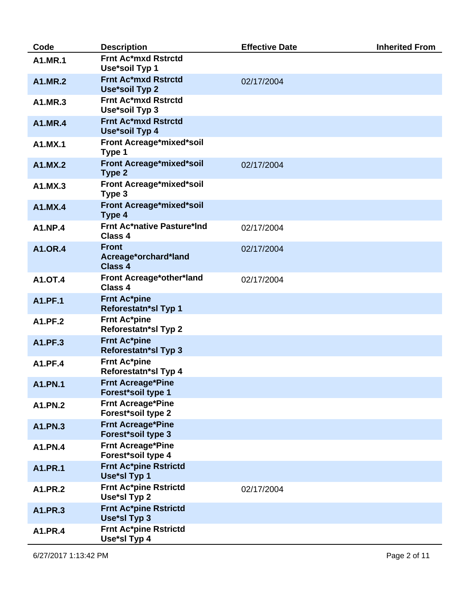| Code           | <b>Description</b>                                     | <b>Effective Date</b> | <b>Inherited From</b> |
|----------------|--------------------------------------------------------|-----------------------|-----------------------|
| <b>A1.MR.1</b> | <b>Frnt Ac*mxd Rstrctd</b><br>Use*soil Typ 1           |                       |                       |
| <b>A1.MR.2</b> | <b>Frnt Ac*mxd Rstrctd</b><br>Use*soil Typ 2           | 02/17/2004            |                       |
| A1.MR.3        | Frnt Ac*mxd Rstrctd<br>Use*soil Typ 3                  |                       |                       |
| <b>A1.MR.4</b> | <b>Frnt Ac*mxd Rstrctd</b><br>Use*soil Typ 4           |                       |                       |
| A1.MX.1        | Front Acreage*mixed*soil<br>Type 1                     |                       |                       |
| A1.MX.2        | Front Acreage*mixed*soil<br>Type 2                     | 02/17/2004            |                       |
| A1.MX.3        | Front Acreage*mixed*soil<br>Type 3                     |                       |                       |
| A1.MX.4        | Front Acreage*mixed*soil<br>Type 4                     |                       |                       |
| <b>A1.NP.4</b> | <b>Frnt Ac*native Pasture*Ind</b><br>Class 4           | 02/17/2004            |                       |
| <b>A1.OR.4</b> | <b>Front</b><br>Acreage*orchard*land<br><b>Class 4</b> | 02/17/2004            |                       |
| <b>A1.OT.4</b> | Front Acreage*other*land<br>Class 4                    | 02/17/2004            |                       |
| <b>A1.PF.1</b> | <b>Frnt Ac*pine</b><br>Reforestatn*sl Typ 1            |                       |                       |
| A1.PF.2        | <b>Frnt Ac*pine</b><br>Reforestatn*sl Typ 2            |                       |                       |
| A1.PF.3        | <b>Frnt Ac*pine</b><br>Reforestatn*sl Typ 3            |                       |                       |
| <b>A1.PF.4</b> | <b>Frnt Ac*pine</b><br>Reforestatn*sl Typ 4            |                       |                       |
| <b>A1.PN.1</b> | <b>Frnt Acreage*Pine</b><br>Forest*soil type 1         |                       |                       |
| A1.PN.2        | <b>Frnt Acreage*Pine</b><br>Forest*soil type 2         |                       |                       |
| A1.PN.3        | <b>Frnt Acreage*Pine</b><br>Forest*soil type 3         |                       |                       |
| <b>A1.PN.4</b> | <b>Frnt Acreage*Pine</b><br>Forest*soil type 4         |                       |                       |
| <b>A1.PR.1</b> | <b>Frnt Ac*pine Rstrictd</b><br>Use*sl Typ 1           |                       |                       |
| <b>A1.PR.2</b> | <b>Frnt Ac*pine Rstrictd</b><br>Use*sl Typ 2           | 02/17/2004            |                       |
| A1.PR.3        | <b>Frnt Ac*pine Rstrictd</b><br>Use*sl Typ 3           |                       |                       |
| A1.PR.4        | <b>Frnt Ac*pine Rstrictd</b><br>Use*sl Typ 4           |                       |                       |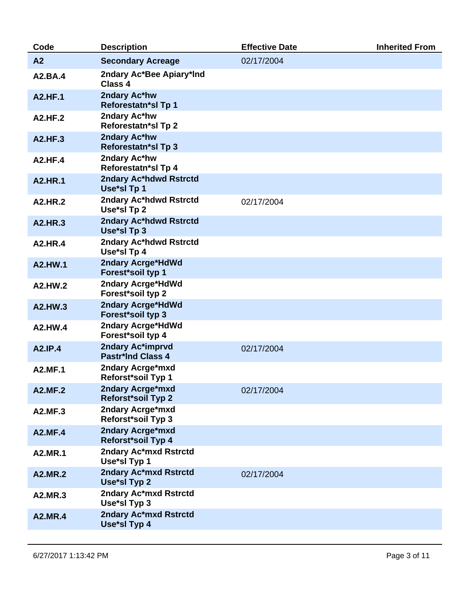| <b>Description</b>                            | <b>Effective Date</b> | <b>Inherited From</b> |
|-----------------------------------------------|-----------------------|-----------------------|
| <b>Secondary Acreage</b>                      | 02/17/2004            |                       |
| 2ndary Ac*Bee Apiary*Ind<br>Class 4           |                       |                       |
| 2ndary Ac*hw<br>Reforestatn*sl Tp 1           |                       |                       |
| 2ndary Ac*hw<br>Reforestatn*sl Tp 2           |                       |                       |
| 2ndary Ac*hw<br><b>Reforestatn*sl Tp 3</b>    |                       |                       |
| 2ndary Ac*hw<br>Reforestatn*sl Tp 4           |                       |                       |
| 2ndary Ac*hdwd Rstrctd<br>Use*sl Tp 1         |                       |                       |
| 2ndary Ac*hdwd Rstrctd<br>Use*sl Tp 2         | 02/17/2004            |                       |
| 2ndary Ac*hdwd Rstrctd<br>Use*sl Tp 3         |                       |                       |
| 2ndary Ac*hdwd Rstrctd<br>Use*sl Tp 4         |                       |                       |
| 2ndary Acrge*HdWd<br>Forest*soil typ 1        |                       |                       |
| 2ndary Acrge*HdWd<br>Forest*soil typ 2        |                       |                       |
| 2ndary Acrge*HdWd<br>Forest*soil typ 3        |                       |                       |
| 2ndary Acrge*HdWd<br>Forest*soil typ 4        |                       |                       |
| 2ndary Ac*imprvd<br><b>Pastr*Ind Class 4</b>  | 02/17/2004            |                       |
| 2ndary Acrge*mxd<br>Reforst*soil Typ 1        |                       |                       |
| 2ndary Acrge*mxd<br><b>Reforst*soil Typ 2</b> | 02/17/2004            |                       |
| 2ndary Acrge*mxd<br>Reforst*soil Typ 3        |                       |                       |
| 2ndary Acrge*mxd<br><b>Reforst*soil Typ 4</b> |                       |                       |
| 2ndary Ac*mxd Rstrctd<br>Use*sl Typ 1         |                       |                       |
| 2ndary Ac*mxd Rstrctd<br>Use*sl Typ 2         | 02/17/2004            |                       |
| 2ndary Ac*mxd Rstrctd<br>Use*sl Typ 3         |                       |                       |
| 2ndary Ac*mxd Rstrctd<br>Use*sl Typ 4         |                       |                       |
|                                               |                       |                       |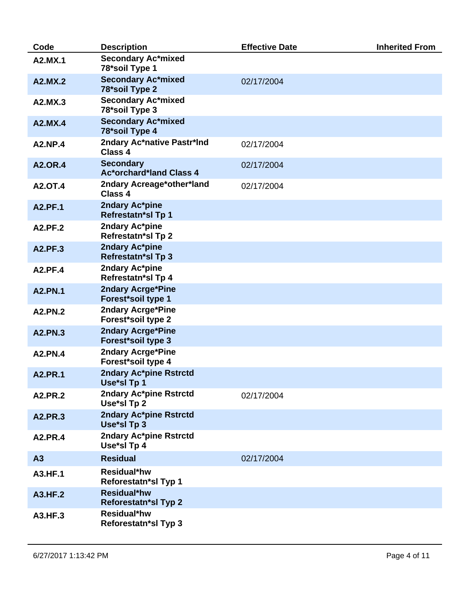| Code           | <b>Description</b>                                 | <b>Effective Date</b> | <b>Inherited From</b> |
|----------------|----------------------------------------------------|-----------------------|-----------------------|
| A2.MX.1        | <b>Secondary Ac*mixed</b><br>78*soil Type 1        |                       |                       |
| A2.MX.2        | <b>Secondary Ac*mixed</b><br>78*soil Type 2        | 02/17/2004            |                       |
| A2.MX.3        | <b>Secondary Ac*mixed</b><br>78*soil Type 3        |                       |                       |
| A2.MX.4        | <b>Secondary Ac*mixed</b><br>78*soil Type 4        |                       |                       |
| <b>A2.NP.4</b> | 2ndary Ac*native Pastr*Ind<br>Class 4              | 02/17/2004            |                       |
| <b>A2.OR.4</b> | <b>Secondary</b><br><b>Ac*orchard*land Class 4</b> | 02/17/2004            |                       |
| <b>A2.OT.4</b> | 2ndary Acreage*other*land<br><b>Class 4</b>        | 02/17/2004            |                       |
| <b>A2.PF.1</b> | 2ndary Ac*pine<br><b>Refrestatn*sl Tp 1</b>        |                       |                       |
| <b>A2.PF.2</b> | 2ndary Ac*pine<br><b>Refrestatn*sl Tp 2</b>        |                       |                       |
| A2.PF.3        | 2ndary Ac*pine<br><b>Refrestatn*sl Tp 3</b>        |                       |                       |
| <b>A2.PF.4</b> | 2ndary Ac*pine<br>Refrestatn*sl Tp 4               |                       |                       |
| <b>A2.PN.1</b> | 2ndary Acrge*Pine<br>Forest*soil type 1            |                       |                       |
| <b>A2.PN.2</b> | 2ndary Acrge*Pine<br>Forest*soil type 2            |                       |                       |
| <b>A2.PN.3</b> | <b>2ndary Acrge*Pine</b><br>Forest*soil type 3     |                       |                       |
| A2.PN.4        | 2ndary Acrge*Pine<br>Forest*soil type 4            |                       |                       |
| <b>A2.PR.1</b> | 2ndary Ac*pine Rstrctd<br>Use*sl Tp 1              |                       |                       |
| <b>A2.PR.2</b> | 2ndary Ac*pine Rstrctd<br>Use*sl Tp 2              | 02/17/2004            |                       |
| <b>A2.PR.3</b> | 2ndary Ac*pine Rstrctd<br>Use*sl Tp 3              |                       |                       |
| <b>A2.PR.4</b> | 2ndary Ac*pine Rstrctd<br>Use*sl Tp 4              |                       |                       |
| A3             | <b>Residual</b>                                    | 02/17/2004            |                       |
| A3.HF.1        | Residual*hw<br>Reforestatn*sl Typ 1                |                       |                       |
| <b>A3.HF.2</b> | <b>Residual*hw</b><br><b>Reforestatn*sl Typ 2</b>  |                       |                       |
| A3.HF.3        | Residual*hw<br><b>Reforestatn*sl Typ 3</b>         |                       |                       |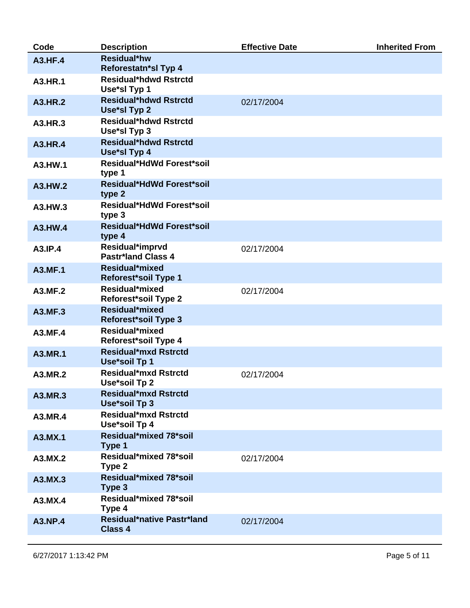| Code           | <b>Description</b>                                  | <b>Effective Date</b> | <b>Inherited From</b> |
|----------------|-----------------------------------------------------|-----------------------|-----------------------|
| <b>A3.HF.4</b> | <b>Residual*hw</b><br>Reforestatn*sl Typ 4          |                       |                       |
| A3.HR.1        | <b>Residual*hdwd Rstrctd</b><br>Use*sl Typ 1        |                       |                       |
| <b>A3.HR.2</b> | <b>Residual*hdwd Rstrctd</b><br>Use*sl Typ 2        | 02/17/2004            |                       |
| A3.HR.3        | <b>Residual*hdwd Rstrctd</b><br>Use*sl Typ 3        |                       |                       |
| A3.HR.4        | <b>Residual*hdwd Rstrctd</b><br>Use*sl Typ 4        |                       |                       |
| A3.HW.1        | <b>Residual*HdWd Forest*soil</b><br>type 1          |                       |                       |
| A3.HW.2        | <b>Residual*HdWd Forest*soil</b><br>type 2          |                       |                       |
| A3.HW.3        | <b>Residual*HdWd Forest*soil</b><br>type 3          |                       |                       |
| A3.HW.4        | <b>Residual*HdWd Forest*soil</b><br>type 4          |                       |                       |
| A3.IP.4        | Residual*imprvd<br><b>Pastr*land Class 4</b>        | 02/17/2004            |                       |
| <b>A3.MF.1</b> | Residual*mixed<br><b>Reforest*soil Type 1</b>       |                       |                       |
| A3.MF.2        | Residual*mixed<br><b>Reforest*soil Type 2</b>       | 02/17/2004            |                       |
| A3.MF.3        | Residual*mixed<br><b>Reforest*soil Type 3</b>       |                       |                       |
| A3.MF.4        | Residual*mixed<br><b>Reforest*soil Type 4</b>       |                       |                       |
| <b>A3.MR.1</b> | <b>Residual*mxd Rstrctd</b><br>Use*soil Tp 1        |                       |                       |
| A3.MR.2        | <b>Residual*mxd Rstrctd</b><br>Use*soil Tp 2        | 02/17/2004            |                       |
| A3.MR.3        | <b>Residual*mxd Rstrctd</b><br>Use*soil Tp 3        |                       |                       |
| A3.MR.4        | Residual*mxd Rstrctd<br>Use*soil Tp 4               |                       |                       |
| A3.MX.1        | Residual*mixed 78*soil<br>Type 1                    |                       |                       |
| A3.MX.2        | Residual*mixed 78*soil<br>Type 2                    | 02/17/2004            |                       |
| A3.MX.3        | Residual*mixed 78*soil<br>Type 3                    |                       |                       |
| A3.MX.4        | Residual*mixed 78*soil<br>Type 4                    |                       |                       |
| <b>A3.NP.4</b> | <b>Residual*native Pastr*land</b><br><b>Class 4</b> | 02/17/2004            |                       |
|                |                                                     |                       |                       |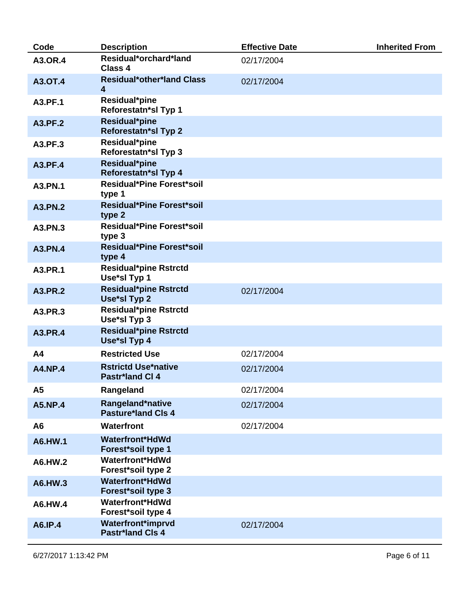| Code           | <b>Description</b>                                          | <b>Effective Date</b> | <b>Inherited From</b> |
|----------------|-------------------------------------------------------------|-----------------------|-----------------------|
| <b>A3.OR.4</b> | Residual*orchard*land<br>Class 4                            | 02/17/2004            |                       |
| <b>A3.OT.4</b> | <b>Residual*other*land Class</b><br>$\overline{\mathbf{4}}$ | 02/17/2004            |                       |
| A3.PF.1        | Residual*pine<br>Reforestatn*sl Typ 1                       |                       |                       |
| A3.PF.2        | Residual*pine<br><b>Reforestatn*sl Typ 2</b>                |                       |                       |
| A3.PF.3        | Residual*pine<br>Reforestatn*sl Typ 3                       |                       |                       |
| A3.PF.4        | Residual*pine<br>Reforestatn*sl Typ 4                       |                       |                       |
| A3.PN.1        | <b>Residual*Pine Forest*soil</b><br>type 1                  |                       |                       |
| A3.PN.2        | <b>Residual*Pine Forest*soil</b><br>type 2                  |                       |                       |
| A3.PN.3        | <b>Residual*Pine Forest*soil</b><br>type 3                  |                       |                       |
| <b>A3.PN.4</b> | <b>Residual*Pine Forest*soil</b><br>type 4                  |                       |                       |
| A3.PR.1        | <b>Residual*pine Rstrctd</b><br>Use*sl Typ 1                |                       |                       |
| A3.PR.2        | <b>Residual*pine Rstrctd</b><br>Use*sl Typ 2                | 02/17/2004            |                       |
| A3.PR.3        | <b>Residual*pine Rstrctd</b><br>Use*sl Typ 3                |                       |                       |
| A3.PR.4        | <b>Residual*pine Rstrctd</b><br>Use*sl Typ 4                |                       |                       |
| A <sub>4</sub> | <b>Restricted Use</b>                                       | 02/17/2004            |                       |
| <b>A4.NP.4</b> | <b>Rstrictd Use*native</b><br><b>Pastr*land Cl 4</b>        | 02/17/2004            |                       |
| A5             | Rangeland                                                   | 02/17/2004            |                       |
| <b>A5.NP.4</b> | Rangeland*native<br><b>Pasture*land Cls 4</b>               | 02/17/2004            |                       |
| A <sub>6</sub> | <b>Waterfront</b>                                           | 02/17/2004            |                       |
| A6.HW.1        | <b>Waterfront*HdWd</b><br>Forest*soil type 1                |                       |                       |
| A6.HW.2        | <b>Waterfront*HdWd</b><br>Forest*soil type 2                |                       |                       |
| A6.HW.3        | <b>Waterfront*HdWd</b><br>Forest*soil type 3                |                       |                       |
| A6.HW.4        | <b>Waterfront*HdWd</b><br>Forest*soil type 4                |                       |                       |
| A6.IP.4        | <b>Waterfront*imprvd</b><br><b>Pastr*land Cls 4</b>         | 02/17/2004            |                       |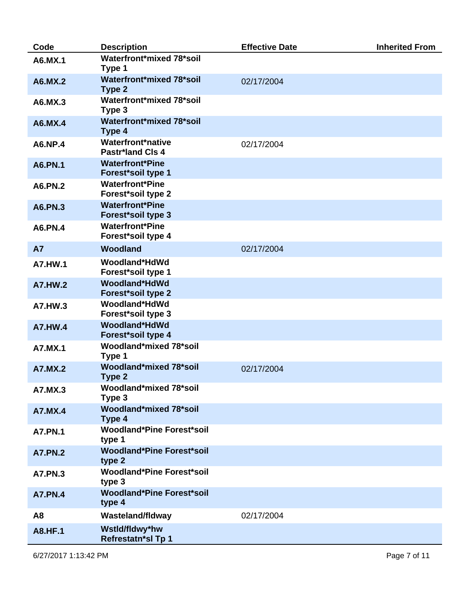| Code           | <b>Description</b>                                  | <b>Effective Date</b> | <b>Inherited From</b> |
|----------------|-----------------------------------------------------|-----------------------|-----------------------|
| A6.MX.1        | Waterfront*mixed 78*soil<br>Type 1                  |                       |                       |
| A6.MX.2        | Waterfront*mixed 78*soil<br>Type 2                  | 02/17/2004            |                       |
| A6.MX.3        | Waterfront*mixed 78*soil<br>Type 3                  |                       |                       |
| A6.MX.4        | Waterfront*mixed 78*soil<br>Type 4                  |                       |                       |
| A6.NP.4        | Waterfront*native<br><b>Pastr*land Cls 4</b>        | 02/17/2004            |                       |
| A6.PN.1        | <b>Waterfront*Pine</b><br><b>Forest*soil type 1</b> |                       |                       |
| A6.PN.2        | <b>Waterfront*Pine</b><br>Forest*soil type 2        |                       |                       |
| A6.PN.3        | <b>Waterfront*Pine</b><br>Forest*soil type 3        |                       |                       |
| <b>A6.PN.4</b> | <b>Waterfront*Pine</b><br>Forest*soil type 4        |                       |                       |
| <b>A7</b>      | Woodland                                            | 02/17/2004            |                       |
| <b>A7.HW.1</b> | Woodland*HdWd<br>Forest*soil type 1                 |                       |                       |
| <b>A7.HW.2</b> | Woodland*HdWd<br>Forest*soil type 2                 |                       |                       |
| A7.HW.3        | Woodland*HdWd<br>Forest*soil type 3                 |                       |                       |
| <b>A7.HW.4</b> | Woodland*HdWd<br>Forest*soil type 4                 |                       |                       |
| A7.MX.1        | Woodland*mixed 78*soil<br>Type 1                    |                       |                       |
| <b>A7.MX.2</b> | Woodland*mixed 78*soil<br>Type 2                    | 02/17/2004            |                       |
| A7.MX.3        | Woodland*mixed 78*soil<br>Type 3                    |                       |                       |
| <b>A7.MX.4</b> | Woodland*mixed 78*soil<br>Type 4                    |                       |                       |
| <b>A7.PN.1</b> | <b>Woodland*Pine Forest*soil</b><br>type 1          |                       |                       |
| <b>A7.PN.2</b> | <b>Woodland*Pine Forest*soil</b><br>type 2          |                       |                       |
| <b>A7.PN.3</b> | <b>Woodland*Pine Forest*soil</b><br>type 3          |                       |                       |
| <b>A7.PN.4</b> | <b>Woodland*Pine Forest*soil</b><br>type 4          |                       |                       |
| A <sub>8</sub> | <b>Wasteland/fldway</b>                             | 02/17/2004            |                       |
| <b>A8.HF.1</b> | Wstld/fldwy*hw<br>Refrestatn*sl Tp 1                |                       |                       |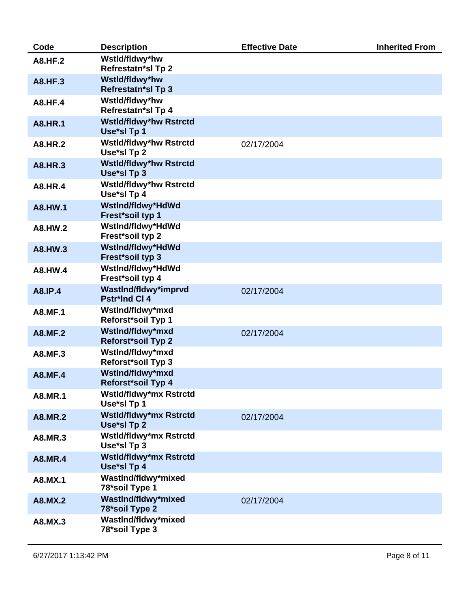| Code           | <b>Description</b>                            | <b>Effective Date</b> | <b>Inherited From</b> |
|----------------|-----------------------------------------------|-----------------------|-----------------------|
| <b>A8.HF.2</b> | Wstld/fldwy*hw<br><b>Refrestatn*sl Tp 2</b>   |                       |                       |
| <b>A8.HF.3</b> | Wstld/fldwy*hw<br><b>Refrestatn*sl Tp 3</b>   |                       |                       |
| <b>A8.HF.4</b> | Wstld/fldwy*hw<br>Refrestatn*sl Tp 4          |                       |                       |
| <b>A8.HR.1</b> | <b>Wstld/fldwy*hw Rstrctd</b><br>Use*sl Tp 1  |                       |                       |
| <b>A8.HR.2</b> | <b>Wstld/fldwy*hw Rstrctd</b><br>Use*sl Tp 2  | 02/17/2004            |                       |
| A8.HR.3        | <b>Wstld/fldwy*hw Rstrctd</b><br>Use*sl Tp 3  |                       |                       |
| <b>A8.HR.4</b> | <b>Wstld/fldwy*hw Rstrctd</b><br>Use*sl Tp 4  |                       |                       |
| A8.HW.1        | WstInd/fldwy*HdWd<br>Frest*soil typ 1         |                       |                       |
| A8.HW.2        | WstInd/fldwy*HdWd<br>Frest*soil typ 2         |                       |                       |
| A8.HW.3        | WstInd/fldwy*HdWd<br>Frest*soil typ 3         |                       |                       |
| A8.HW.4        | WstInd/fldwy*HdWd<br>Frest*soil typ 4         |                       |                       |
| A8.IP.4        | WastInd/fldwy*imprvd<br><b>Pstr*Ind CI 4</b>  | 02/17/2004            |                       |
| A8.MF.1        | WstInd/fldwy*mxd<br>Reforst*soil Typ 1        |                       |                       |
| <b>A8.MF.2</b> | WstInd/fldwy*mxd<br><b>Reforst*soil Typ 2</b> | 02/17/2004            |                       |
| A8.MF.3        | WstInd/fldwy*mxd<br>Reforst*soil Typ 3        |                       |                       |
| <b>A8.MF.4</b> | WstInd/fldwy*mxd<br>Reforst*soil Typ 4        |                       |                       |
| A8.MR.1        | Wstld/fldwy*mx Rstrctd<br>Use*sl Tp 1         |                       |                       |
| <b>A8.MR.2</b> | Wstld/fldwy*mx Rstrctd<br>Use*sl Tp 2         | 02/17/2004            |                       |
| A8.MR.3        | Wstld/fldwy*mx Rstrctd<br>Use*sl Tp 3         |                       |                       |
| <b>A8.MR.4</b> | Wstld/fldwy*mx Rstrctd<br>Use*sl Tp 4         |                       |                       |
| A8.MX.1        | WastInd/fldwy*mixed<br>78*soil Type 1         |                       |                       |
| A8.MX.2        | WastInd/fldwy*mixed<br>78*soil Type 2         | 02/17/2004            |                       |
| A8.MX.3        | WastInd/fldwy*mixed<br>78*soil Type 3         |                       |                       |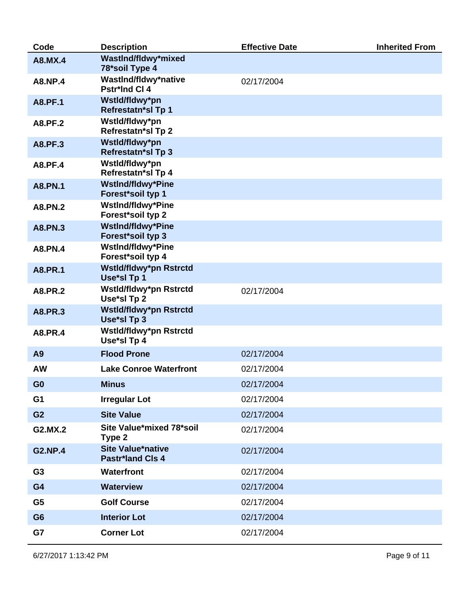| Code           | <b>Description</b>                                  | <b>Effective Date</b> | <b>Inherited From</b> |
|----------------|-----------------------------------------------------|-----------------------|-----------------------|
| A8.MX.4        | WastInd/fldwy*mixed<br>78*soil Type 4               |                       |                       |
| <b>A8.NP.4</b> | WastInd/fldwy*native<br>Pstr*Ind Cl 4               | 02/17/2004            |                       |
| <b>A8.PF.1</b> | Wstld/fldwy*pn<br><b>Refrestatn*sl Tp 1</b>         |                       |                       |
| A8.PF.2        | Wstld/fldwy*pn<br><b>Refrestatn*sl Tp 2</b>         |                       |                       |
| <b>A8.PF.3</b> | Wstld/fldwy*pn<br><b>Refrestatn*sl Tp 3</b>         |                       |                       |
| <b>A8.PF.4</b> | Wstld/fldwy*pn<br><b>Refrestatn*sl Tp 4</b>         |                       |                       |
| <b>A8.PN.1</b> | <b>WstInd/fldwy*Pine</b><br>Forest*soil typ 1       |                       |                       |
| A8.PN.2        | <b>WstInd/fldwy*Pine</b><br>Forest*soil typ 2       |                       |                       |
| <b>A8.PN.3</b> | <b>WstInd/fldwy*Pine</b><br>Forest*soil typ 3       |                       |                       |
| A8.PN.4        | <b>WstInd/fldwy*Pine</b><br>Forest*soil typ 4       |                       |                       |
| <b>A8.PR.1</b> | Wstld/fldwy*pn Rstrctd<br>Use*sl Tp 1               |                       |                       |
| A8.PR.2        | Wstld/fldwy*pn Rstrctd<br>Use*sl Tp 2               | 02/17/2004            |                       |
| A8.PR.3        | Wstld/fldwy*pn Rstrctd<br>Use*sl Tp 3               |                       |                       |
| A8.PR.4        | Wstld/fldwy*pn Rstrctd<br>Use*sl Tp 4               |                       |                       |
| A9             | <b>Flood Prone</b>                                  | 02/17/2004            |                       |
| <b>AW</b>      | <b>Lake Conroe Waterfront</b>                       | 02/17/2004            |                       |
| G <sub>0</sub> | <b>Minus</b>                                        | 02/17/2004            |                       |
| G <sub>1</sub> | <b>Irregular Lot</b>                                | 02/17/2004            |                       |
| G <sub>2</sub> | <b>Site Value</b>                                   | 02/17/2004            |                       |
| G2.MX.2        | Site Value*mixed 78*soil<br>Type 2                  | 02/17/2004            |                       |
| <b>G2.NP.4</b> | <b>Site Value*native</b><br><b>Pastr*land Cls 4</b> | 02/17/2004            |                       |
| G <sub>3</sub> | <b>Waterfront</b>                                   | 02/17/2004            |                       |
| G4             | <b>Waterview</b>                                    | 02/17/2004            |                       |
| G <sub>5</sub> | <b>Golf Course</b>                                  | 02/17/2004            |                       |
| G <sub>6</sub> | <b>Interior Lot</b>                                 | 02/17/2004            |                       |
| G7             | <b>Corner Lot</b>                                   | 02/17/2004            |                       |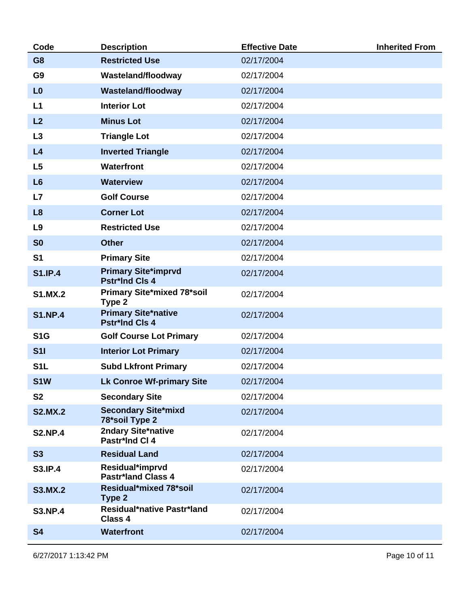| Code             | <b>Description</b>                                  | <b>Effective Date</b> | <b>Inherited From</b> |
|------------------|-----------------------------------------------------|-----------------------|-----------------------|
| G <sub>8</sub>   | <b>Restricted Use</b>                               | 02/17/2004            |                       |
| G <sub>9</sub>   | Wasteland/floodway                                  | 02/17/2004            |                       |
| L <sub>0</sub>   | <b>Wasteland/floodway</b>                           | 02/17/2004            |                       |
| L1               | <b>Interior Lot</b>                                 | 02/17/2004            |                       |
| L2               | <b>Minus Lot</b>                                    | 02/17/2004            |                       |
| L3               | <b>Triangle Lot</b>                                 | 02/17/2004            |                       |
| L4               | <b>Inverted Triangle</b>                            | 02/17/2004            |                       |
| L5               | <b>Waterfront</b>                                   | 02/17/2004            |                       |
| L6               | <b>Waterview</b>                                    | 02/17/2004            |                       |
| L7               | <b>Golf Course</b>                                  | 02/17/2004            |                       |
| L8               | <b>Corner Lot</b>                                   | 02/17/2004            |                       |
| L9               | <b>Restricted Use</b>                               | 02/17/2004            |                       |
| S <sub>0</sub>   | <b>Other</b>                                        | 02/17/2004            |                       |
| S <sub>1</sub>   | <b>Primary Site</b>                                 | 02/17/2004            |                       |
| <b>S1.IP.4</b>   | <b>Primary Site*imprvd</b><br><b>Pstr*Ind Cls 4</b> | 02/17/2004            |                       |
| <b>S1.MX.2</b>   | Primary Site*mixed 78*soil<br>Type 2                | 02/17/2004            |                       |
| <b>S1.NP.4</b>   | <b>Primary Site*native</b><br><b>Pstr*Ind Cls 4</b> | 02/17/2004            |                       |
| S <sub>1</sub> G | <b>Golf Course Lot Primary</b>                      | 02/17/2004            |                       |
| <b>S11</b>       | <b>Interior Lot Primary</b>                         | 02/17/2004            |                       |
| S <sub>1</sub> L | <b>Subd Lkfront Primary</b>                         | 02/17/2004            |                       |
| S <sub>1</sub> W | <b>Lk Conroe Wf-primary Site</b>                    | 02/17/2004            |                       |
| <b>S2</b>        | <b>Secondary Site</b>                               | 02/17/2004            |                       |
| <b>S2.MX.2</b>   | <b>Secondary Site*mixd</b><br>78*soil Type 2        | 02/17/2004            |                       |
| <b>S2.NP.4</b>   | 2ndary Site*native<br>Pastr*Ind CI 4                | 02/17/2004            |                       |
| <b>S3</b>        | <b>Residual Land</b>                                | 02/17/2004            |                       |
| <b>S3.IP.4</b>   | Residual*imprvd<br><b>Pastr*land Class 4</b>        | 02/17/2004            |                       |
| <b>S3.MX.2</b>   | Residual*mixed 78*soil<br>Type 2                    | 02/17/2004            |                       |
| <b>S3.NP.4</b>   | Residual*native Pastr*land<br>Class 4               | 02/17/2004            |                       |
| <b>S4</b>        | <b>Waterfront</b>                                   | 02/17/2004            |                       |